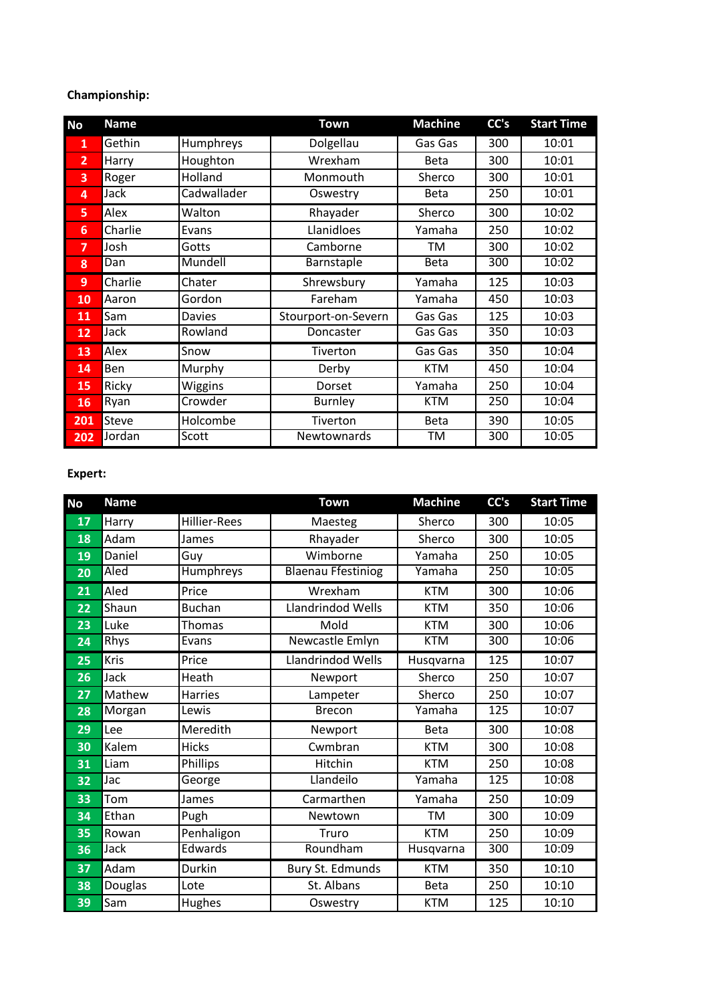# **Championship:**

| <b>No</b>      | <b>Name</b> |             | <b>Town</b>         | <b>Machine</b> | CC's | <b>Start Time</b> |
|----------------|-------------|-------------|---------------------|----------------|------|-------------------|
| $\mathbf{1}$   | Gethin      | Humphreys   | Dolgellau           | Gas Gas        | 300  | 10:01             |
| $\overline{2}$ | Harry       | Houghton    | Wrexham             | <b>Beta</b>    | 300  | 10:01             |
| 3              | Roger       | Holland     | Monmouth            | Sherco         | 300  | 10:01             |
| 4              | Jack        | Cadwallader | Oswestry            | <b>Beta</b>    | 250  | 10:01             |
| 5.             | Alex        | Walton      | Rhayader            | Sherco         | 300  | 10:02             |
| 6              | Charlie     | Evans       | Llanidloes          | Yamaha         | 250  | 10:02             |
| $\overline{7}$ | Josh        | Gotts       | Camborne            | TM             | 300  | 10:02             |
| 8              | Dan         | Mundell     | Barnstaple          | <b>Beta</b>    | 300  | 10:02             |
| 9              | Charlie     | Chater      | Shrewsbury          | Yamaha         | 125  | 10:03             |
| 10             | Aaron       | Gordon      | Fareham             | Yamaha         | 450  | 10:03             |
| 11             | Sam         | Davies      | Stourport-on-Severn | Gas Gas        | 125  | 10:03             |
| 12             | Jack        | Rowland     | Doncaster           | Gas Gas        | 350  | 10:03             |
| 13             | Alex        | Snow        | Tiverton            | Gas Gas        | 350  | 10:04             |
| 14             | Ben         | Murphy      | Derby               | <b>KTM</b>     | 450  | 10:04             |
| 15             | Ricky       | Wiggins     | Dorset              | Yamaha         | 250  | 10:04             |
| 16             | Ryan        | Crowder     | <b>Burnley</b>      | <b>KTM</b>     | 250  | 10:04             |
| 201            | Steve       | Holcombe    | Tiverton            | Beta           | 390  | 10:05             |
| 202            | Jordan      | Scott       | <b>Newtownards</b>  | TM             | 300  | 10:05             |

# **Expert:**

| <b>No</b> | <b>Name</b> |                     | <b>Town</b>               | <b>Machine</b> | CC's             | <b>Start Time</b> |
|-----------|-------------|---------------------|---------------------------|----------------|------------------|-------------------|
| 17        | Harry       | <b>Hillier-Rees</b> | Maesteg                   | Sherco         | 300              | 10:05             |
| 18        | Adam        | James               | Rhayader                  | Sherco         | 300              | 10:05             |
| 19        | Daniel      | Guy                 | Wimborne                  | Yamaha         | 250              | 10:05             |
| 20        | Aled        | Humphreys           | <b>Blaenau Ffestiniog</b> | Yamaha         | 250              | 10:05             |
| 21        | Aled        | Price               | Wrexham                   | <b>KTM</b>     | 300              | 10:06             |
| 22        | Shaun       | <b>Buchan</b>       | Llandrindod Wells         | <b>KTM</b>     | 350              | 10:06             |
| 23        | Luke        | Thomas              | Mold                      | <b>KTM</b>     | 300              | 10:06             |
| 24        | Rhys        | Evans               | Newcastle Emlyn           | <b>KTM</b>     | 300              | 10:06             |
| 25        | Kris        | Price               | Llandrindod Wells         | Husqvarna      | 125              | 10:07             |
| 26        | Jack        | Heath               | Newport                   | Sherco         | 250              | 10:07             |
| 27        | Mathew      | <b>Harries</b>      | Lampeter                  | Sherco         | 250              | 10:07             |
| 28        | Morgan      | Lewis               | <b>Brecon</b>             | Yamaha         | 125              | 10:07             |
| 29        | Lee         | Meredith            | Newport                   | <b>Beta</b>    | 300              | 10:08             |
| 30        | Kalem       | <b>Hicks</b>        | Cwmbran                   | <b>KTM</b>     | 300              | 10:08             |
| 31        | Liam        | Phillips            | Hitchin                   | <b>KTM</b>     | 250              | 10:08             |
| 32        | Jac         | George              | Llandeilo                 | Yamaha         | 125              | 10:08             |
| 33        | Tom         | James               | Carmarthen                | Yamaha         | 250              | 10:09             |
| 34        | Ethan       | Pugh                | Newtown                   | TM             | 300              | 10:09             |
| 35        | Rowan       | Penhaligon          | Truro                     | <b>KTM</b>     | 250              | 10:09             |
| 36        | <b>Jack</b> | Edwards             | Roundham                  | Husqvarna      | $\overline{300}$ | 10:09             |
| 37        | Adam        | Durkin              | Bury St. Edmunds          | <b>KTM</b>     | 350              | 10:10             |
| 38        | Douglas     | Lote                | St. Albans                | <b>Beta</b>    | 250              | 10:10             |
| 39        | Sam         | Hughes              | Oswestry                  | <b>KTM</b>     | 125              | 10:10             |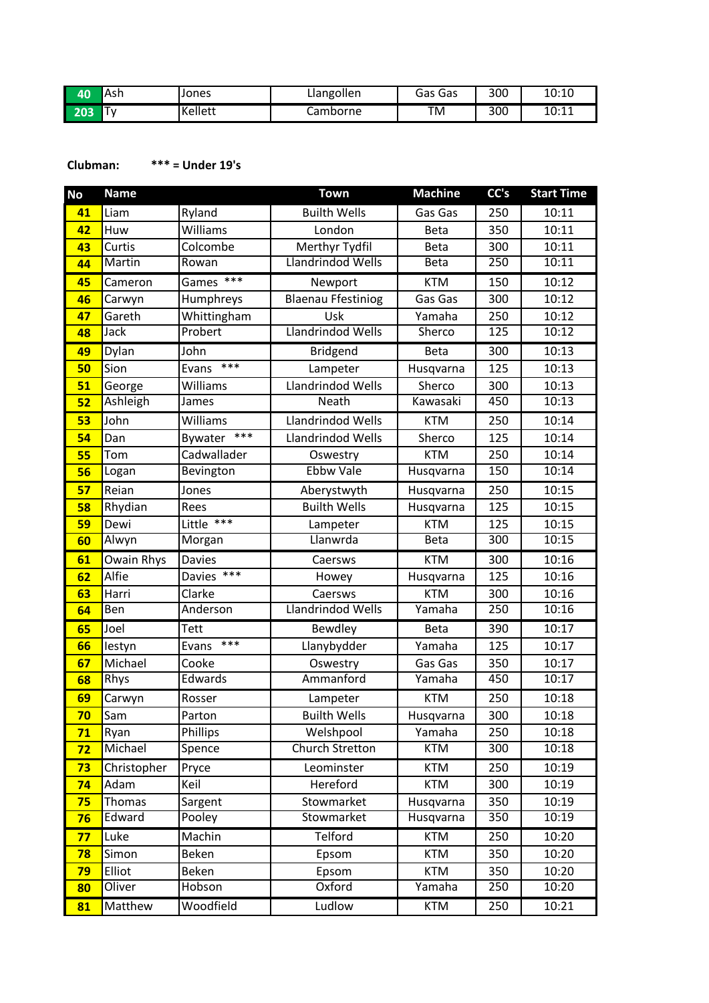| 40  | Ash       | Jones          | Llangollen | Gas<br>Gas | 300 | 10:10 |
|-----|-----------|----------------|------------|------------|-----|-------|
| 203 | $-$<br>ΙV | <b>Kellett</b> | Camborne   | ΤM         | 300 | 10:11 |

### **Clubman: \*\*\* = Under 19's**

| <b>No</b> | <b>Name</b> |                  | <b>Town</b>               | <b>Machine</b> | CC's | <b>Start Time</b> |
|-----------|-------------|------------------|---------------------------|----------------|------|-------------------|
| 41        | Liam        | Ryland           | <b>Builth Wells</b>       | Gas Gas        | 250  | 10:11             |
| 42        | Huw         | Williams         | London                    | <b>Beta</b>    | 350  | 10:11             |
| 43        | Curtis      | Colcombe         | Merthyr Tydfil            | <b>Beta</b>    | 300  | 10:11             |
| 44        | Martin      | Rowan            | Llandrindod Wells         | <b>Beta</b>    | 250  | 10:11             |
| 45        | Cameron     | $***$<br>Games   | Newport                   | <b>KTM</b>     | 150  | 10:12             |
| 46        | Carwyn      | Humphreys        | <b>Blaenau Ffestiniog</b> | Gas Gas        | 300  | 10:12             |
| 47        | Gareth      | Whittingham      | Usk                       | Yamaha         | 250  | 10:12             |
| 48        | Jack        | Probert          | <b>Llandrindod Wells</b>  | Sherco         | 125  | 10:12             |
| 49        | Dylan       | John             | Bridgend                  | <b>Beta</b>    | 300  | 10:13             |
| 50        | Sion        | $***$<br>Evans   | Lampeter                  | Husqvarna      | 125  | 10:13             |
| 51        | George      | Williams         | Llandrindod Wells         | Sherco         | 300  | 10:13             |
| 52        | Ashleigh    | James            | Neath                     | Kawasaki       | 450  | 10:13             |
| 53        | John        | Williams         | Llandrindod Wells         | <b>KTM</b>     | 250  | 10:14             |
| 54        | Dan         | $***$<br>Bywater | <b>Llandrindod Wells</b>  | Sherco         | 125  | 10:14             |
| 55        | Tom         | Cadwallader      | Oswestry                  | <b>KTM</b>     | 250  | 10:14             |
| 56        | Logan       | Bevington        | <b>Ebbw Vale</b>          | Husqvarna      | 150  | 10:14             |
| 57        | Reian       | Jones            | Aberystwyth               | Husqvarna      | 250  | 10:15             |
| 58        | Rhydian     | Rees             | <b>Builth Wells</b>       | Husqvarna      | 125  | 10:15             |
| 59        | Dewi        | Little ***       | Lampeter                  | <b>KTM</b>     | 125  | 10:15             |
| 60        | Alwyn       | Morgan           | Llanwrda                  | <b>Beta</b>    | 300  | 10:15             |
| 61        | Owain Rhys  | <b>Davies</b>    | Caersws                   | <b>KTM</b>     | 300  | 10:16             |
| 62        | Alfie       | Davies $***$     | Howey                     | Husqvarna      | 125  | 10:16             |
| 63        | Harri       | Clarke           | Caersws                   | <b>KTM</b>     | 300  | 10:16             |
| 64        | <b>Ben</b>  | Anderson         | <b>Llandrindod Wells</b>  | Yamaha         | 250  | 10:16             |
| 65        | Joel        | <b>Tett</b>      | Bewdley                   | <b>Beta</b>    | 390  | 10:17             |
| 66        | lestyn      | $***$<br>Evans   | Llanybydder               | Yamaha         | 125  | 10:17             |
| 67        | Michael     | Cooke            | Oswestry                  | Gas Gas        | 350  | 10:17             |
| 68        | Rhys        | Edwards          | Ammanford                 | Yamaha         | 450  | 10:17             |
| 69        | Carwyn      | Rosser           | Lampeter                  | <b>KTM</b>     | 250  | 10:18             |
| 70        | Sam         | Parton           | <b>Builth Wells</b>       | Husqvarna      | 300  | 10:18             |
| 71        | Ryan        | Phillips         | Welshpool                 | Yamaha         | 250  | 10:18             |
| 72        | Michael     | Spence           | Church Stretton           | <b>KTM</b>     | 300  | 10:18             |
| 73        | Christopher | Pryce            | Leominster                | <b>KTM</b>     | 250  | 10:19             |
| 74        | Adam        | Keil             | Hereford                  | <b>KTM</b>     | 300  | 10:19             |
| 75        | Thomas      | Sargent          | Stowmarket                | Husqvarna      | 350  | 10:19             |
| 76        | Edward      | Pooley           | Stowmarket                | Husqvarna      | 350  | 10:19             |
| 77        | Luke        | Machin           | Telford                   | <b>KTM</b>     | 250  | 10:20             |
| 78        | Simon       | Beken            | Epsom                     | <b>KTM</b>     | 350  | 10:20             |
| 79        | Elliot      | Beken            | Epsom                     | <b>KTM</b>     | 350  | 10:20             |
| 80        | Oliver      | Hobson           | Oxford                    | Yamaha         | 250  | 10:20             |
| 81        | Matthew     | Woodfield        | Ludlow                    | <b>KTM</b>     | 250  | 10:21             |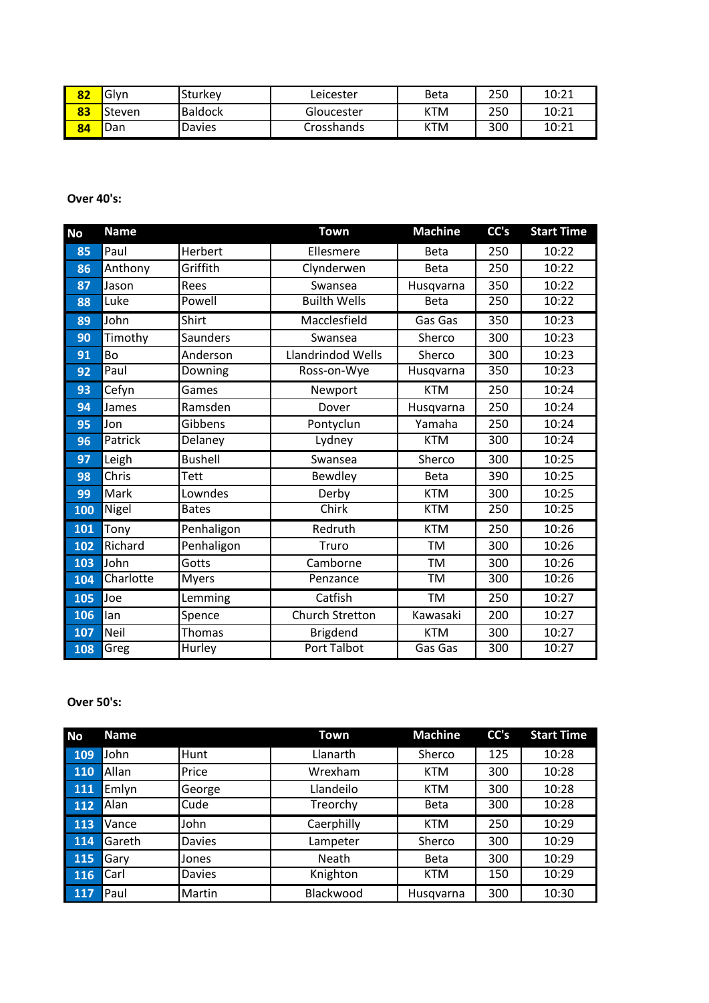| 82 | Glvn   | l Sturkev      | ∟eicester  | Beta | 250 | 10:21 |
|----|--------|----------------|------------|------|-----|-------|
| 83 | Steven | <b>Baldock</b> | Gloucester | KTM  | 250 | 10:21 |
| 84 | Dan    | <b>Davies</b>  | Crosshands | KTM  | 300 | 10:21 |

**Over 40's:**

| <b>No</b> | <b>Name</b> |                | <b>Town</b>              | <b>Machine</b> | CC's | <b>Start Time</b> |
|-----------|-------------|----------------|--------------------------|----------------|------|-------------------|
| 85        | Paul        | Herbert        | Ellesmere                | <b>Beta</b>    | 250  | 10:22             |
| 86        | Anthony     | Griffith       | Clynderwen               | <b>Beta</b>    | 250  | 10:22             |
| 87        | Jason       | Rees           | Swansea                  | Husqvarna      | 350  | 10:22             |
| 88        | Luke        | Powell         | <b>Builth Wells</b>      | <b>Beta</b>    | 250  | 10:22             |
| 89        | John        | Shirt          | Macclesfield             | Gas Gas        | 350  | 10:23             |
| 90        | Timothy     | Saunders       | Swansea                  | Sherco         | 300  | 10:23             |
| 91        | Bo          | Anderson       | <b>Llandrindod Wells</b> | Sherco         | 300  | 10:23             |
| 92        | Paul        | Downing        | Ross-on-Wye              | Husqvarna      | 350  | 10:23             |
| 93        | Cefyn       | Games          | Newport                  | <b>KTM</b>     | 250  | 10:24             |
| 94        | James       | Ramsden        | Dover                    | Husqvarna      | 250  | 10:24             |
| 95        | Jon         | Gibbens        | Pontyclun                | Yamaha         | 250  | 10:24             |
| 96        | Patrick     | Delaney        | Lydney                   | <b>KTM</b>     | 300  | 10:24             |
| 97        | Leigh       | <b>Bushell</b> | Swansea                  | Sherco         | 300  | 10:25             |
| 98        | Chris       | Tett           | Bewdley                  | <b>Beta</b>    | 390  | 10:25             |
| 99        | Mark        | Lowndes        | Derby                    | <b>KTM</b>     | 300  | 10:25             |
| 100       | Nigel       | <b>Bates</b>   | Chirk                    | <b>KTM</b>     | 250  | 10:25             |
| 101       | Tony        | Penhaligon     | Redruth                  | <b>KTM</b>     | 250  | 10:26             |
| 102       | Richard     | Penhaligon     | Truro                    | <b>TM</b>      | 300  | 10:26             |
| 103       | John        | Gotts          | Camborne                 | <b>TM</b>      | 300  | 10:26             |
| 104       | Charlotte   | <b>Myers</b>   | Penzance                 | TM             | 300  | 10:26             |
| 105       | Joe         | Lemming        | Catfish                  | <b>TM</b>      | 250  | 10:27             |
| 106       | lan         | Spence         | <b>Church Stretton</b>   | Kawasaki       | 200  | 10:27             |
| 107       | Neil        | <b>Thomas</b>  | Brigdend                 | <b>KTM</b>     | 300  | 10:27             |
| 108       | Greg        | Hurley         | <b>Port Talbot</b>       | Gas Gas        | 300  | 10:27             |

### **Over 50's:**

| <b>No</b> | <b>Name</b> |               | Town       | <b>Machine</b> | CC's | <b>Start Time</b> |
|-----------|-------------|---------------|------------|----------------|------|-------------------|
| 109       | John        | Hunt          | Llanarth   | Sherco         | 125  | 10:28             |
| 110       | Allan       | Price         | Wrexham    | <b>KTM</b>     | 300  | 10:28             |
| 111       | Emlyn       | George        | Llandeilo  | <b>KTM</b>     | 300  | 10:28             |
| 112       | Alan        | Cude          | Treorchy   | <b>Beta</b>    | 300  | 10:28             |
| 113       | Vance       | John          | Caerphilly | <b>KTM</b>     | 250  | 10:29             |
| 114       | Gareth      | Davies        | Lampeter   | Sherco         | 300  | 10:29             |
| 115       | Gary        | Jones         | Neath      | <b>Beta</b>    | 300  | 10:29             |
| 116       | Carl        | <b>Davies</b> | Knighton   | <b>KTM</b>     | 150  | 10:29             |
| 117       | Paul        | Martin        | Blackwood  | Husqvarna      | 300  | 10:30             |
|           |             |               |            |                |      |                   |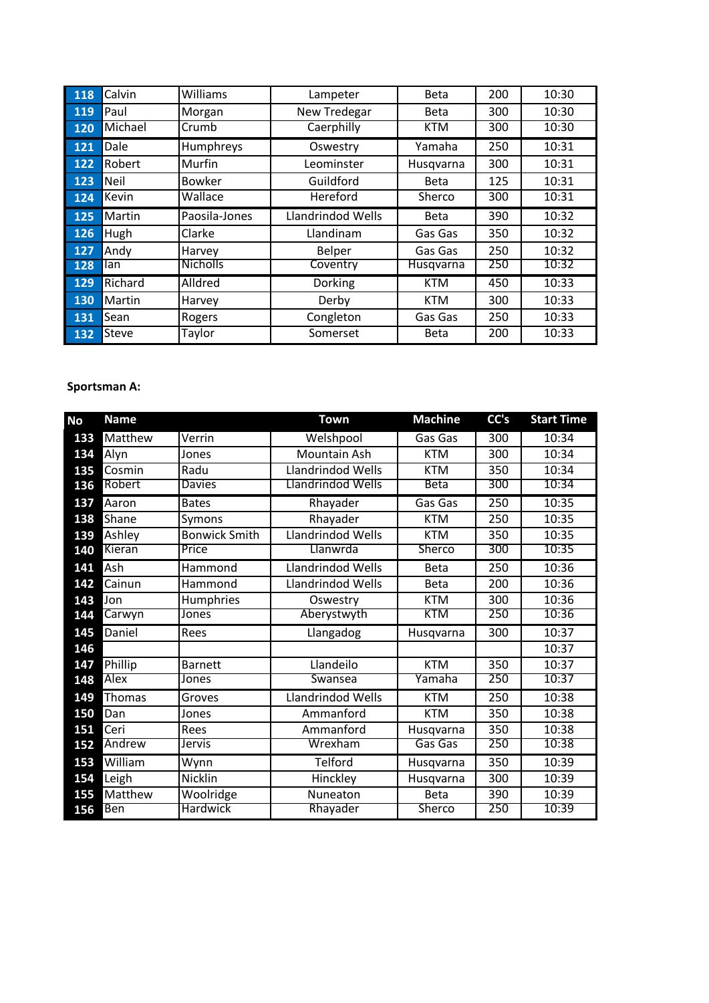| 118 | Calvin  | Williams        | Lampeter                 | <b>Beta</b> | 200 | 10:30 |
|-----|---------|-----------------|--------------------------|-------------|-----|-------|
| 119 | Paul    | Morgan          | New Tredegar             | <b>Beta</b> | 300 | 10:30 |
| 120 | Michael | Crumb           | Caerphilly               | <b>KTM</b>  | 300 | 10:30 |
| 121 | Dale    | Humphreys       | Oswestry                 | Yamaha      | 250 | 10:31 |
| 122 | Robert  | Murfin          | Leominster               | Husqvarna   | 300 | 10:31 |
| 123 | Neil    | Bowker          | Guildford                | <b>Beta</b> | 125 | 10:31 |
| 124 | Kevin   | Wallace         | Hereford                 | Sherco      | 300 | 10:31 |
| 125 | Martin  | Paosila-Jones   | <b>Llandrindod Wells</b> | <b>Beta</b> | 390 | 10:32 |
| 126 | Hugh    | Clarke          | Llandinam                | Gas Gas     | 350 | 10:32 |
| 127 | Andy    | Harvey          | Belper                   | Gas Gas     | 250 | 10:32 |
| 128 | lan     | <b>Nicholls</b> | Coventry                 | Husqvarna   | 250 | 10:32 |
| 129 | Richard | Alldred         | Dorking                  | <b>KTM</b>  | 450 | 10:33 |
| 130 | Martin  | Harvey          | Derby                    | <b>KTM</b>  | 300 | 10:33 |
| 131 | Sean    | Rogers          | Congleton                | Gas Gas     | 250 | 10:33 |
| 132 | Steve   | Taylor          | Somerset                 | <b>Beta</b> | 200 | 10:33 |

# **Sportsman A:**

| No  | <b>Name</b>   |                      | <b>Town</b>       | <b>Machine</b> | CC's             | <b>Start Time</b> |
|-----|---------------|----------------------|-------------------|----------------|------------------|-------------------|
| 133 | Matthew       | Verrin               | Welshpool         | Gas Gas        | 300              | 10:34             |
| 134 | Alyn          | Jones                | Mountain Ash      | <b>KTM</b>     | 300              | 10:34             |
| 135 | Cosmin        | Radu                 | Llandrindod Wells | <b>KTM</b>     | 350              | 10:34             |
| 136 | Robert        | <b>Davies</b>        | Llandrindod Wells | <b>Beta</b>    | 300              | 10:34             |
| 137 | Aaron         | <b>Bates</b>         | Rhayader          | Gas Gas        | $\overline{250}$ | 10:35             |
| 138 | Shane         | Symons               | Rhayader          | <b>KTM</b>     | 250              | 10:35             |
| 139 | Ashley        | <b>Bonwick Smith</b> | Llandrindod Wells | <b>KTM</b>     | 350              | 10:35             |
| 140 | Kieran        | Price                | Llanwrda          | Sherco         | 300              | 10:35             |
| 141 | Ash           | Hammond              | Llandrindod Wells | <b>Beta</b>    | $\overline{250}$ | 10:36             |
| 142 | Cainun        | Hammond              | Llandrindod Wells | <b>Beta</b>    | 200              | 10:36             |
| 143 | Jon           | Humphries            | Oswestry          | <b>KTM</b>     | 300              | 10:36             |
| 144 | Carwyn        | Jones                | Aberystwyth       | <b>KTM</b>     | 250              | 10:36             |
| 145 | Daniel        | Rees                 | Llangadog         | Husqvarna      | $\overline{300}$ | 10:37             |
| 146 |               |                      |                   |                |                  | 10:37             |
| 147 | Phillip       | <b>Barnett</b>       | Llandeilo         | <b>KTM</b>     | 350              | 10:37             |
| 148 | <b>Alex</b>   | Jones                | Swansea           | Yamaha         | 250              | 10:37             |
| 149 | <b>Thomas</b> | Groves               | Llandrindod Wells | <b>KTM</b>     | 250              | 10:38             |
| 150 | Dan           | Jones                | Ammanford         | <b>KTM</b>     | 350              | 10:38             |
| 151 | Ceri          | Rees                 | Ammanford         | Husqvarna      | 350              | 10:38             |
| 152 | Andrew        | Jervis               | Wrexham           | Gas Gas        | 250              | 10:38             |
| 153 | William       | Wynn                 | Telford           | Husqvarna      | $\overline{350}$ | 10:39             |
| 154 | Leigh         | Nicklin              | Hinckley          | Husqvarna      | 300              | 10:39             |
| 155 | Matthew       | Woolridge            | Nuneaton          | <b>Beta</b>    | 390              | 10:39             |
| 156 | <b>Ben</b>    | Hardwick             | Rhayader          | <b>Sherco</b>  | 250              | 10:39             |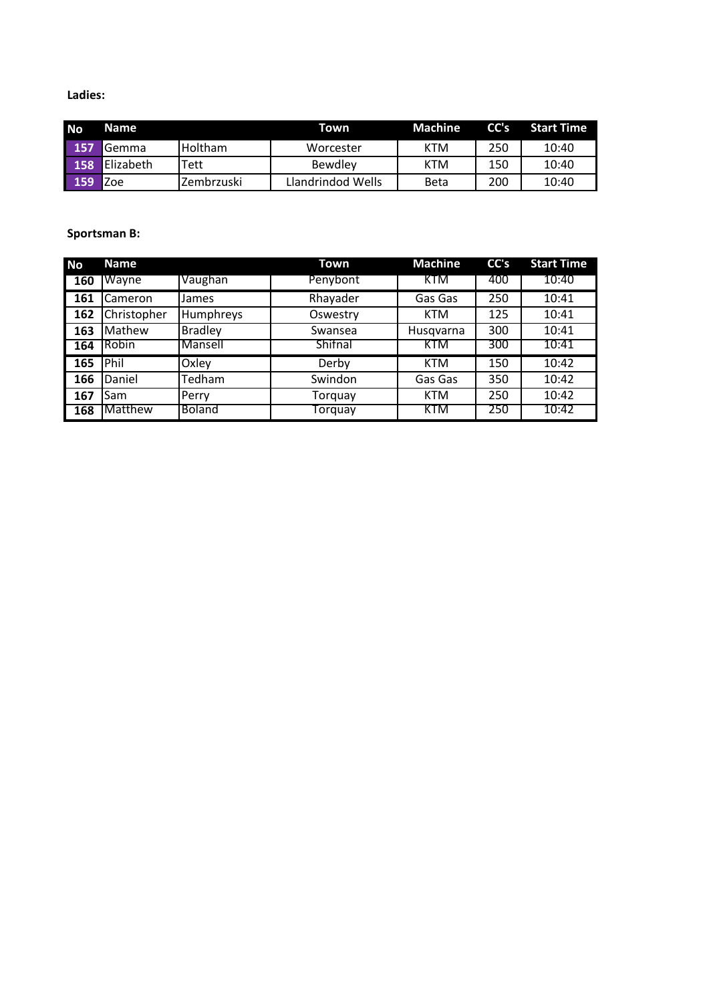### **Ladies:**

| <b>No</b> | Name              |                | Town              | <b>Machine</b> | CC's | <b>Start Time</b> |
|-----------|-------------------|----------------|-------------------|----------------|------|-------------------|
| 157       | <b>Gemma</b>      | <b>Holtham</b> | Worcester         | <b>KTM</b>     | 250  | 10:40             |
| 158       | <b>IElizabeth</b> | Tett           | Bewdley           | <b>KTM</b>     | 150  | 10:40             |
| 159       | Zoe               | Zembrzuski     | Llandrindod Wells | <b>Beta</b>    | 200  | 10:40             |

### **Sportsman B:**

| <b>No</b> | <b>Name</b> |                | Town           | <b>Machine</b> | CC's | <b>Start Time</b> |
|-----------|-------------|----------------|----------------|----------------|------|-------------------|
| 160       | Wayne       | Vaughan        | Penybont       | KTM            | 400  | 10:40             |
| 161       | Cameron     | <b>James</b>   | Rhayader       | Gas Gas        | 250  | 10:41             |
| 162       | Christopher | Humphreys      | Oswestry       | <b>KTM</b>     | 125  | 10:41             |
| 163       | Mathew      | <b>Bradley</b> | Swansea        | Husqvarna      | 300  | 10:41             |
| 164       | Robin       | Mansell        | <b>Shifnal</b> | <b>KTM</b>     | 300  | 10:41             |
| 165       | Phil        | Oxley          | Derby          | <b>KTM</b>     | 150  | 10:42             |
| 166       | Daniel      | Tedham         | Swindon        | Gas Gas        | 350  | 10:42             |
| 167       | Sam         | Perry          | Torquay        | <b>KTM</b>     | 250  | 10:42             |
| 168       | Matthew     | Boland         | Torquay        | <b>KTM</b>     | 250  | 10:42             |